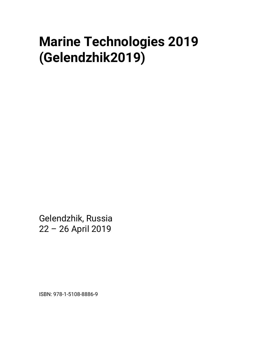## **Marine Technologies 2019 (Gelendzhik2019)**

Gelendzhik, Russia 22 – 26 April 2019

ISBN: 978-1-5108-8886-9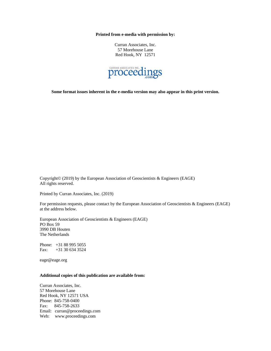**Printed from e-media with permission by:** 

Curran Associates, Inc. 57 Morehouse Lane Red Hook, NY 12571



**Some format issues inherent in the e-media version may also appear in this print version.** 

Copyright© (2019) by the European Association of Geoscientists & Engineers (EAGE) All rights reserved.

Printed by Curran Associates, Inc. (2019)

For permission requests, please contact by the European Association of Geoscientists & Engineers (EAGE) at the address below.

European Association of Geoscientists & Engineers (EAGE) PO Box 59 3990 DB Houten The Netherlands

Phone: +31 88 995 5055 Fax: +31 30 634 3524

eage@eage.org

## **Additional copies of this publication are available from:**

Curran Associates, Inc. 57 Morehouse Lane Red Hook, NY 12571 USA Phone: 845-758-0400 Fax: 845-758-2633 Email: curran@proceedings.com Web: www.proceedings.com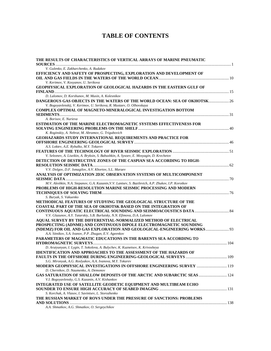## **TABLE OF CONTENTS**

| THE RESULTS OF CHARACTERISTICS OF VERTICAL ARRAYS OF MARINE PNEUMATIC                                                                              |  |
|----------------------------------------------------------------------------------------------------------------------------------------------------|--|
| V. Gulenko, E. Zakharchenko, A. Rudakov                                                                                                            |  |
| EFFICIENCY AND SAFETY OF PROSPECTING, EXPLORATION AND DEVELOPMENT OF                                                                               |  |
|                                                                                                                                                    |  |
| V. Kerimov, V. Kosyanov, U. Serikova                                                                                                               |  |
| <b>GEOPHYSICAL EXPLORATION OF GEOLOGICAL HAZARDS IN THE EASTERN GULF OF</b>                                                                        |  |
|                                                                                                                                                    |  |
|                                                                                                                                                    |  |
| D. Lalomov, D. Korshunov, M. Musin, A. Kolesnikov                                                                                                  |  |
| DANGEROUS GAS OBJECTS IN THE WATERS OF THE WORLD OCEAN: SEA OF OKHOTSK 26<br>V. Bogoyavlenskij, V. Kerimov, U. Serikova, R. Mustaev, O. Olhovskaya |  |
| <b>COMPLEX OPTIMAL OF MAGNETO-MINERALOGICAL INVESTIGATION BOTTOM</b>                                                                               |  |
|                                                                                                                                                    |  |
| A. Borisov, E. Nurieva                                                                                                                             |  |
| <b>ESTIMATION OF THE MARINE ELECTROMAGNETIC SYSTEMS EFFECTIVENESS FOR</b>                                                                          |  |
|                                                                                                                                                    |  |
| K. Roginskiy, A. Nebrat, M. Abramov, G. Trigubovich                                                                                                |  |
| GEOHAZARDS STUDY INTERNATIONAL REQUIREMENTS AND PRACTICE FOR                                                                                       |  |
|                                                                                                                                                    |  |
| A.S. Loktev, A.E. Rybalko, M.Y. Tokarev                                                                                                            |  |
|                                                                                                                                                    |  |
| V. Seleznev, A. Liseikin, A. Bryksin, S. Babushkin, A. Sysoev, E. Mosyagin, D. Krechetov                                                           |  |
| DETECTION OF DESTRUCTIVE ZONES OF THE CASPIAN SEA ACCORDING TO HIGH-                                                                               |  |
|                                                                                                                                                    |  |
| V.V. Dolgov, D.F. Ismagilov, A.V. Khortov, S.L. Maraev                                                                                             |  |
| ANALYSIS OF OPTIMIZATION 2D3C OBSERVATION SYSTEMS OF MULTICOMPONENT                                                                                |  |
|                                                                                                                                                    |  |
| M.V. Aleshkin, N.A. Stepanov, G.A. Kazanin, V.V. Lantsev, S. Bazilevich, A.P. Zhukov, I.P. Korotkov                                                |  |
| PROBLEMS OF HIGH-RESOLUTION MARINE SEISMIC PROCESSING AND MODERN                                                                                   |  |
|                                                                                                                                                    |  |
| S. Buryak, S. Vakuenko                                                                                                                             |  |
| <b>METHODICAL FEATURES OF STUDYING THE GEOLOGICAL STRUCTURE OF THE</b>                                                                             |  |
| <b>COASTAL PART OF THE SEA OF OKHOTSK BASED ON THE INTEGRATION OF</b>                                                                              |  |
|                                                                                                                                                    |  |
| V.V. Glazunov, A.Y. Tatarskiy, S.B. Burlutsky, N.N. Efimova, D.A. Lalomov                                                                          |  |
| <b>AQUAL SURVEY BY THE DIFFERENTIAL-NORMALIZED METHOD OF ELECTRICAL</b>                                                                            |  |
| PROSPECTING (ADNME) AND CONTINUOUS DIPOLE ELECTROMAGNETIC SOUNDING                                                                                 |  |
| (NDEMZ) FOR OIL AND GAS EXPLORATION AND GEOLOGICAL-ENGINEERING WORKS 93                                                                            |  |
| A.A. Sitnikov, S.A. Ivanov, P.P. Zhugan, E.V. Ageenkov                                                                                             |  |
|                                                                                                                                                    |  |
| PARAMETERS OF MAGMATIC EDUCATIONS IN THE BARENTS SEA ACCORDING TO                                                                                  |  |
|                                                                                                                                                    |  |
| D. Arutyunyan, I. Lygin, T. Sokolova, A. Bulychev, K. Kuznetsov, K. Krivosheya                                                                     |  |
| <b>IDENTIFICATION AND APPROACHES TO THE ASSESSMENT OF THE HAZARDS OF</b>                                                                           |  |
|                                                                                                                                                    |  |
| S.G. Mironyuk, A.G. Roslyakov, A.A. Ivanova, M.Y. Tokarev                                                                                          |  |
| <b>MODERN GEOPHYSICAL INVESTIGATIONS IN OFFSHORE ENGINEERING SURVEY  19</b>                                                                        |  |
| D. Chernikov, D. Naumenko, A. Demonov                                                                                                              |  |
| <b>GAS SATURATION OF SHALLOW DEPOSITS OF THE ARCTIC AND SUBARCTIC SEAS  124</b><br>V.I. Bogoyavlensky, G.S. Kazanin, A.V. Kishankov                |  |
| <b>INTEGRATED USE OF SATELLITE GEODETIC EQUIPMENT AND MULTIBEAM ECHO</b>                                                                           |  |
|                                                                                                                                                    |  |
| S. Korchak, A. Vlasov, I. Savintsev, L. Storozhenko                                                                                                |  |
| THE RUSSIAN MARKET OF ROVS UNDER THE PRESSURE OF SANCTIONS: PROBLEMS                                                                               |  |
|                                                                                                                                                    |  |
| A.A. Shmatkov, A.G. Shmatkov, O. Sergeychikov                                                                                                      |  |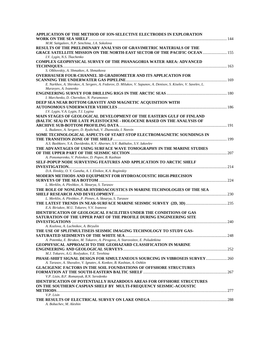| APPLICATION OF THE METHOD OF ION-SELECTIVE ELECTRODES IN EXPLORATION                                            |  |
|-----------------------------------------------------------------------------------------------------------------|--|
|                                                                                                                 |  |
| M.M. Saitgaleev, N.P. Senchina, J.A. Sokolova                                                                   |  |
| RESULTS OF THE PRELIMINARY ANALYSIS OF GRAVIMETRIC MATERIALS OF THE                                             |  |
| <b>GRACE SATELLITE MISSION ON THE NORTH-EAST SECTOR OF THE PACIFIC OCEAN  155</b>                               |  |
| I.V. Lygin, N.S. Tkachenko                                                                                      |  |
| <b>COMPLEX GEOPHYSICAL SURVEY OF THE PHANAGORIA WATER AREA: ADVANCED</b>                                        |  |
|                                                                                                                 |  |
| S. Olkhovskiy, A. Shmatkov, A. Shmatkova                                                                        |  |
| <b>OVERHAUSER FOUR-CHANNEL 3D GRADIOMETER AND ITS APPLICATION FOR</b>                                           |  |
|                                                                                                                 |  |
| E. Narkhov, A. Shirokov, A. Sergeev, A. Fedorov, D. Milukov, V. Sapunov, A. Denisov, S. Kiselev, V. Savelev, L. |  |
| Muravyev, A. Ivanenko                                                                                           |  |
|                                                                                                                 |  |
| I. Marchenko, D. Chernikov, N. Paramonov                                                                        |  |
| DEEP SEA NEAR BOTTOM GRAVITY AND MAGNETIC ACQUISITION WITH                                                      |  |
|                                                                                                                 |  |
| I.V. Lygin, V.A. Lygin, T.I. Lygina                                                                             |  |
| MAIN STAGES OF GEOLOGICAL DEVELOPMENT OF THE EASTERN GULF OF FINLAND                                            |  |
| (BALTIC SEA) IN THE LATE PLEISTOCENE - HOLOCENE BASED ON THE ANALYSIS OF                                        |  |
|                                                                                                                 |  |
| L. Budanov, A. Sergeev, D. Ryabchuk, V. Zhamoida, I. Neevin                                                     |  |
| SOME TECHNOLOGICAL ASPECTS OF START-STOP ELECTROMAGNETIC SOUNDINGS IN                                           |  |
| A.S. Bashkeev, Y.A. Davidenko, K.V. Abornev, S.V. Bukhalov, S.V. Iakovlev                                       |  |
|                                                                                                                 |  |
| THE ADVANTAGES OF USING SURFACE WAVE TOMOGRAPHY IN THE MARINE STUDIES                                           |  |
| A. Ponomarenko, V. Polovkov, D. Popov, B. Kashtan                                                               |  |
| SELF-POPUP NODE SURVEYING FEATURES AND APPLICATION TO ARCTIC SHELF                                              |  |
|                                                                                                                 |  |
| D.A. Ilinskiy, O. Y. Ganzha, A. I. Elnikov, K.A. Roginskiy                                                      |  |
| MODERN METHODS AND EQUIPMENT FOR HYDROACOUSTIC HIGH-PRECISION                                                   |  |
|                                                                                                                 |  |
| L. Merklin, A. Pleshkov, A. Sknarya, S. Tarasov                                                                 |  |
| THE ROLE OF NONLINEAR HYDROACOUSTICS IN MARINE TECHNOLOGIES OF THE SEA                                          |  |
|                                                                                                                 |  |
| L. Merklin, A. Pleshkov, P. Pivnev, A. Sknarya, S. Tarasov                                                      |  |
|                                                                                                                 |  |
| E.A. Biriukov, M.U. Tokarev, V.V. Ivanova                                                                       |  |
| <b>IDENTIFICATION OF GEOLOGICAL FACILITIES UNDER THE CONDITIONS OF GAS</b>                                      |  |
| SATURATION OF THE UPPER PART OF THE PROFILE DURING ENGINEERING SITE                                             |  |
|                                                                                                                 |  |
| A. Kozlova, A. Luchnikov, A. Biryulin                                                                           |  |
| THE USE OF SPLITMULTISEIS SEISMIC IMAGING TECHNOLOGY TO STUDY GAS-                                              |  |
|                                                                                                                 |  |
| A. Potemka, E. Birukov, M. Tokarev, A. Pirogova, A. Starovoitov, E. Poludetkina                                 |  |
| <b>GEOPHYSICAL APPROACH TO THE GEOHAZARD CLASSIFICATION IN MARINE</b>                                           |  |
|                                                                                                                 |  |
| M.J. Tokarev, A.G. Roslyakov, Y.E. Terehina                                                                     |  |
| PHASE-SHIFT SIGNAL DESIGN FOR SIMULTANEOUS SOURCING IN VIBROSEIS SURVEY 260                                     |  |
| A. Tarasov, A. Shuvalov, V. Ignatev, A. Konkov, B. Kashtan, A. Oshkin                                           |  |
| <b>GLACIGENIC FACTORS IN THE SOIL FOUNDATIONS OF OFFSHORE STRUCTURES</b>                                        |  |
|                                                                                                                 |  |
| V.P. Lisin, B.F. Romanyuk, R.N. Seredenko                                                                       |  |
| <b>IDENTIFICATION OF POTENTIALLY HAZARDOUS AREAS FOR OFFSHORE STRUCTURES</b>                                    |  |
| ON THE SOUTHERN CASPIAN SHELF BY MULTI-FREQUENCY SEISMIC-ACOUSTIC                                               |  |
|                                                                                                                 |  |
| V.P. Lisin                                                                                                      |  |
|                                                                                                                 |  |
| A. Bobachev, M. Aleshin                                                                                         |  |
|                                                                                                                 |  |